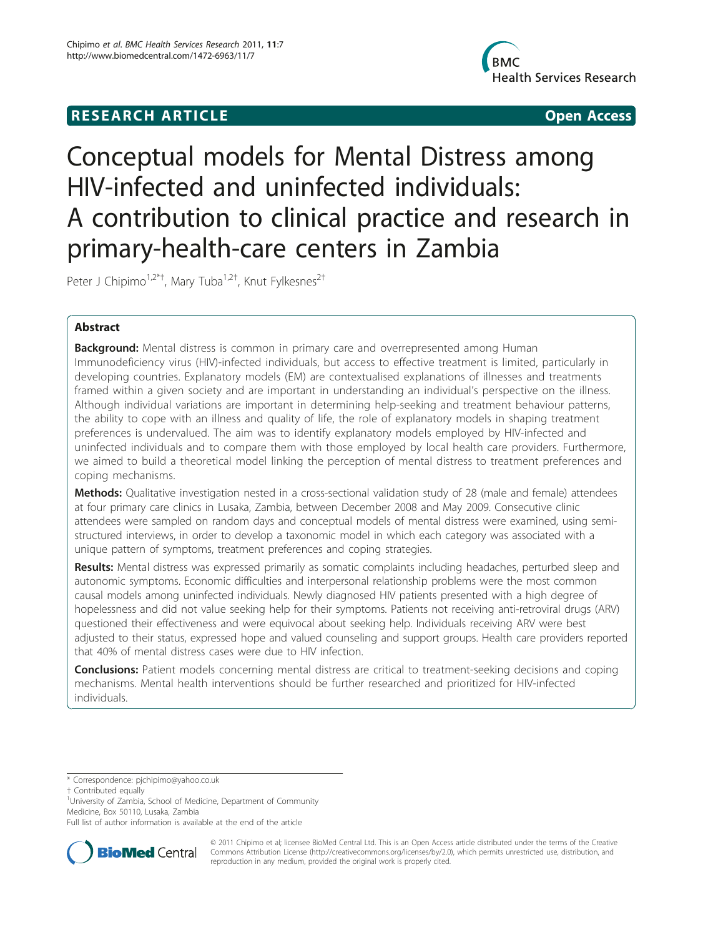# **RESEARCH ARTICLE Example 2018 12:00 Open Access**



# Conceptual models for Mental Distress among HIV-infected and uninfected individuals: A contribution to clinical practice and research in primary-health-care centers in Zambia

Peter J Chipimo<sup>1,2\*†</sup>, Mary Tuba<sup>1,2†</sup>, Knut Fylkesnes<sup>2†</sup>

# Abstract

**Background:** Mental distress is common in primary care and overrepresented among Human Immunodeficiency virus (HIV)-infected individuals, but access to effective treatment is limited, particularly in developing countries. Explanatory models (EM) are contextualised explanations of illnesses and treatments framed within a given society and are important in understanding an individual's perspective on the illness. Although individual variations are important in determining help-seeking and treatment behaviour patterns, the ability to cope with an illness and quality of life, the role of explanatory models in shaping treatment preferences is undervalued. The aim was to identify explanatory models employed by HIV-infected and uninfected individuals and to compare them with those employed by local health care providers. Furthermore, we aimed to build a theoretical model linking the perception of mental distress to treatment preferences and coping mechanisms.

Methods: Qualitative investigation nested in a cross-sectional validation study of 28 (male and female) attendees at four primary care clinics in Lusaka, Zambia, between December 2008 and May 2009. Consecutive clinic attendees were sampled on random days and conceptual models of mental distress were examined, using semistructured interviews, in order to develop a taxonomic model in which each category was associated with a unique pattern of symptoms, treatment preferences and coping strategies.

Results: Mental distress was expressed primarily as somatic complaints including headaches, perturbed sleep and autonomic symptoms. Economic difficulties and interpersonal relationship problems were the most common causal models among uninfected individuals. Newly diagnosed HIV patients presented with a high degree of hopelessness and did not value seeking help for their symptoms. Patients not receiving anti-retroviral drugs (ARV) questioned their effectiveness and were equivocal about seeking help. Individuals receiving ARV were best adjusted to their status, expressed hope and valued counseling and support groups. Health care providers reported that 40% of mental distress cases were due to HIV infection.

**Conclusions:** Patient models concerning mental distress are critical to treatment-seeking decisions and coping mechanisms. Mental health interventions should be further researched and prioritized for HIV-infected individuals.

\* Correspondence: [pjchipimo@yahoo.co.uk](mailto:pjchipimo@yahoo.co.uk)

† Contributed equally <sup>1</sup>

<sup>1</sup>University of Zambia, School of Medicine, Department of Community Medicine, Box 50110, Lusaka, Zambia

Full list of author information is available at the end of the article



© 2011 Chipimo et al; licensee BioMed Central Ltd. This is an Open Access article distributed under the terms of the Creative Commons Attribution License [\(http://creativecommons.org/licenses/by/2.0](http://creativecommons.org/licenses/by/2.0)), which permits unrestricted use, distribution, and reproduction in any medium, provided the original work is properly cited.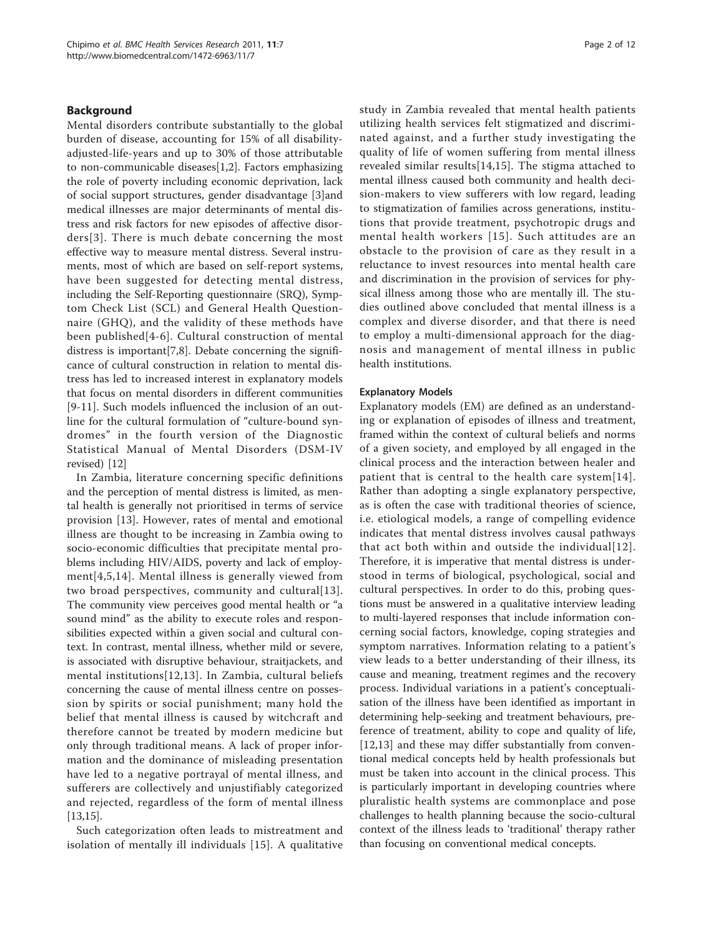# Background

Mental disorders contribute substantially to the global burden of disease, accounting for 15% of all disabilityadjusted-life-years and up to 30% of those attributable to non-communicable diseases[\[1,2](#page-11-0)]. Factors emphasizing the role of poverty including economic deprivation, lack of social support structures, gender disadvantage [\[3](#page-11-0)]and medical illnesses are major determinants of mental distress and risk factors for new episodes of affective disorders[[3](#page-11-0)]. There is much debate concerning the most effective way to measure mental distress. Several instruments, most of which are based on self-report systems, have been suggested for detecting mental distress, including the Self-Reporting questionnaire (SRQ), Symptom Check List (SCL) and General Health Questionnaire (GHQ), and the validity of these methods have been published[\[4-6\]](#page-11-0). Cultural construction of mental distress is important[\[7](#page-11-0),[8](#page-11-0)]. Debate concerning the significance of cultural construction in relation to mental distress has led to increased interest in explanatory models that focus on mental disorders in different communities [[9-11\]](#page-11-0). Such models influenced the inclusion of an outline for the cultural formulation of "culture-bound syndromes" in the fourth version of the Diagnostic Statistical Manual of Mental Disorders (DSM-IV revised) [[12](#page-11-0)]

In Zambia, literature concerning specific definitions and the perception of mental distress is limited, as mental health is generally not prioritised in terms of service provision [[13](#page-11-0)]. However, rates of mental and emotional illness are thought to be increasing in Zambia owing to socio-economic difficulties that precipitate mental problems including HIV/AIDS, poverty and lack of employment[[4,5](#page-11-0),[14](#page-11-0)]. Mental illness is generally viewed from two broad perspectives, community and cultural[[13\]](#page-11-0). The community view perceives good mental health or "a sound mind" as the ability to execute roles and responsibilities expected within a given social and cultural context. In contrast, mental illness, whether mild or severe, is associated with disruptive behaviour, straitjackets, and mental institutions[[12,13\]](#page-11-0). In Zambia, cultural beliefs concerning the cause of mental illness centre on possession by spirits or social punishment; many hold the belief that mental illness is caused by witchcraft and therefore cannot be treated by modern medicine but only through traditional means. A lack of proper information and the dominance of misleading presentation have led to a negative portrayal of mental illness, and sufferers are collectively and unjustifiably categorized and rejected, regardless of the form of mental illness [[13,15\]](#page-11-0).

Such categorization often leads to mistreatment and isolation of mentally ill individuals [\[15\]](#page-11-0). A qualitative study in Zambia revealed that mental health patients utilizing health services felt stigmatized and discriminated against, and a further study investigating the quality of life of women suffering from mental illness revealed similar results[[14](#page-11-0),[15\]](#page-11-0). The stigma attached to mental illness caused both community and health decision-makers to view sufferers with low regard, leading to stigmatization of families across generations, institutions that provide treatment, psychotropic drugs and mental health workers [[15](#page-11-0)]. Such attitudes are an obstacle to the provision of care as they result in a reluctance to invest resources into mental health care and discrimination in the provision of services for physical illness among those who are mentally ill. The studies outlined above concluded that mental illness is a complex and diverse disorder, and that there is need to employ a multi-dimensional approach for the diagnosis and management of mental illness in public health institutions.

## Explanatory Models

Explanatory models (EM) are defined as an understanding or explanation of episodes of illness and treatment, framed within the context of cultural beliefs and norms of a given society, and employed by all engaged in the clinical process and the interaction between healer and patient that is central to the health care system[[14\]](#page-11-0). Rather than adopting a single explanatory perspective, as is often the case with traditional theories of science, i.e. etiological models, a range of compelling evidence indicates that mental distress involves causal pathways that act both within and outside the individual  $[12]$  $[12]$ . Therefore, it is imperative that mental distress is understood in terms of biological, psychological, social and cultural perspectives. In order to do this, probing questions must be answered in a qualitative interview leading to multi-layered responses that include information concerning social factors, knowledge, coping strategies and symptom narratives. Information relating to a patient's view leads to a better understanding of their illness, its cause and meaning, treatment regimes and the recovery process. Individual variations in a patient's conceptualisation of the illness have been identified as important in determining help-seeking and treatment behaviours, preference of treatment, ability to cope and quality of life, [[12,13](#page-11-0)] and these may differ substantially from conventional medical concepts held by health professionals but must be taken into account in the clinical process. This is particularly important in developing countries where pluralistic health systems are commonplace and pose challenges to health planning because the socio-cultural context of the illness leads to 'traditional' therapy rather than focusing on conventional medical concepts.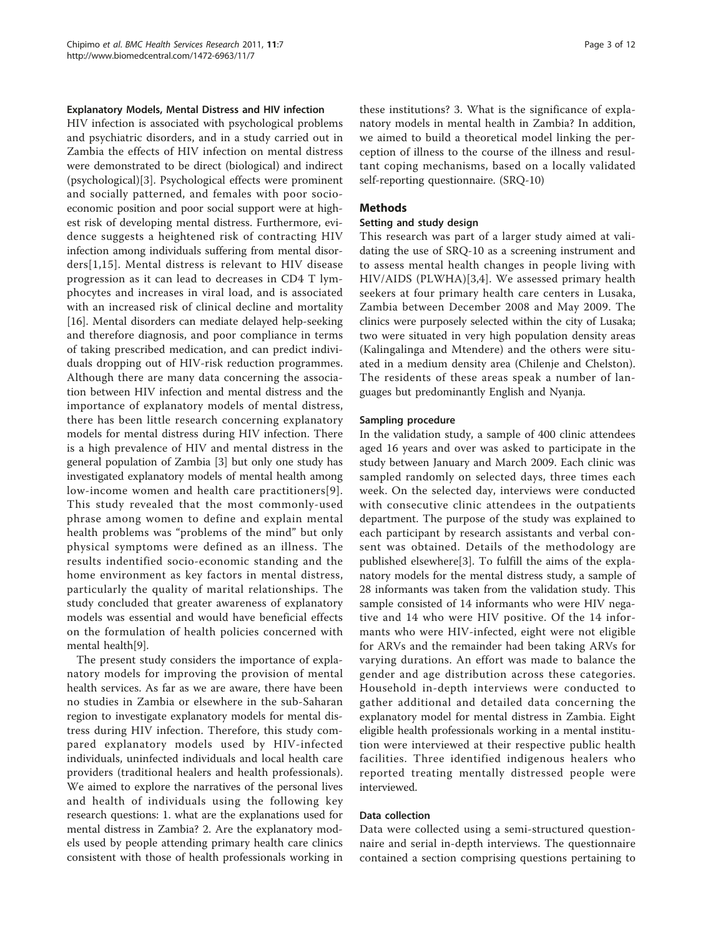## Explanatory Models, Mental Distress and HIV infection

HIV infection is associated with psychological problems and psychiatric disorders, and in a study carried out in Zambia the effects of HIV infection on mental distress were demonstrated to be direct (biological) and indirect (psychological)[[3\]](#page-11-0). Psychological effects were prominent and socially patterned, and females with poor socioeconomic position and poor social support were at highest risk of developing mental distress. Furthermore, evidence suggests a heightened risk of contracting HIV infection among individuals suffering from mental disorders[\[1,15](#page-11-0)]. Mental distress is relevant to HIV disease progression as it can lead to decreases in CD4 T lymphocytes and increases in viral load, and is associated with an increased risk of clinical decline and mortality [[16\]](#page-11-0). Mental disorders can mediate delayed help-seeking and therefore diagnosis, and poor compliance in terms of taking prescribed medication, and can predict individuals dropping out of HIV-risk reduction programmes. Although there are many data concerning the association between HIV infection and mental distress and the importance of explanatory models of mental distress, there has been little research concerning explanatory models for mental distress during HIV infection. There is a high prevalence of HIV and mental distress in the general population of Zambia [[3\]](#page-11-0) but only one study has investigated explanatory models of mental health among low-income women and health care practitioners[[9\]](#page-11-0). This study revealed that the most commonly-used phrase among women to define and explain mental health problems was "problems of the mind" but only physical symptoms were defined as an illness. The results indentified socio-economic standing and the home environment as key factors in mental distress, particularly the quality of marital relationships. The study concluded that greater awareness of explanatory models was essential and would have beneficial effects on the formulation of health policies concerned with mental health[\[9\]](#page-11-0).

The present study considers the importance of explanatory models for improving the provision of mental health services. As far as we are aware, there have been no studies in Zambia or elsewhere in the sub-Saharan region to investigate explanatory models for mental distress during HIV infection. Therefore, this study compared explanatory models used by HIV-infected individuals, uninfected individuals and local health care providers (traditional healers and health professionals). We aimed to explore the narratives of the personal lives and health of individuals using the following key research questions: 1. what are the explanations used for mental distress in Zambia? 2. Are the explanatory models used by people attending primary health care clinics consistent with those of health professionals working in

these institutions? 3. What is the significance of explanatory models in mental health in Zambia? In addition, we aimed to build a theoretical model linking the perception of illness to the course of the illness and resultant coping mechanisms, based on a locally validated self-reporting questionnaire. (SRQ-10)

## Methods

# Setting and study design

This research was part of a larger study aimed at validating the use of SRQ-10 as a screening instrument and to assess mental health changes in people living with HIV/AIDS (PLWHA)[[3,4](#page-11-0)]. We assessed primary health seekers at four primary health care centers in Lusaka, Zambia between December 2008 and May 2009. The clinics were purposely selected within the city of Lusaka; two were situated in very high population density areas (Kalingalinga and Mtendere) and the others were situated in a medium density area (Chilenje and Chelston). The residents of these areas speak a number of languages but predominantly English and Nyanja.

#### Sampling procedure

In the validation study, a sample of 400 clinic attendees aged 16 years and over was asked to participate in the study between January and March 2009. Each clinic was sampled randomly on selected days, three times each week. On the selected day, interviews were conducted with consecutive clinic attendees in the outpatients department. The purpose of the study was explained to each participant by research assistants and verbal consent was obtained. Details of the methodology are published elsewhere[[3\]](#page-11-0). To fulfill the aims of the explanatory models for the mental distress study, a sample of 28 informants was taken from the validation study. This sample consisted of 14 informants who were HIV negative and 14 who were HIV positive. Of the 14 informants who were HIV-infected, eight were not eligible for ARVs and the remainder had been taking ARVs for varying durations. An effort was made to balance the gender and age distribution across these categories. Household in-depth interviews were conducted to gather additional and detailed data concerning the explanatory model for mental distress in Zambia. Eight eligible health professionals working in a mental institution were interviewed at their respective public health facilities. Three identified indigenous healers who reported treating mentally distressed people were interviewed.

# Data collection

Data were collected using a semi-structured questionnaire and serial in-depth interviews. The questionnaire contained a section comprising questions pertaining to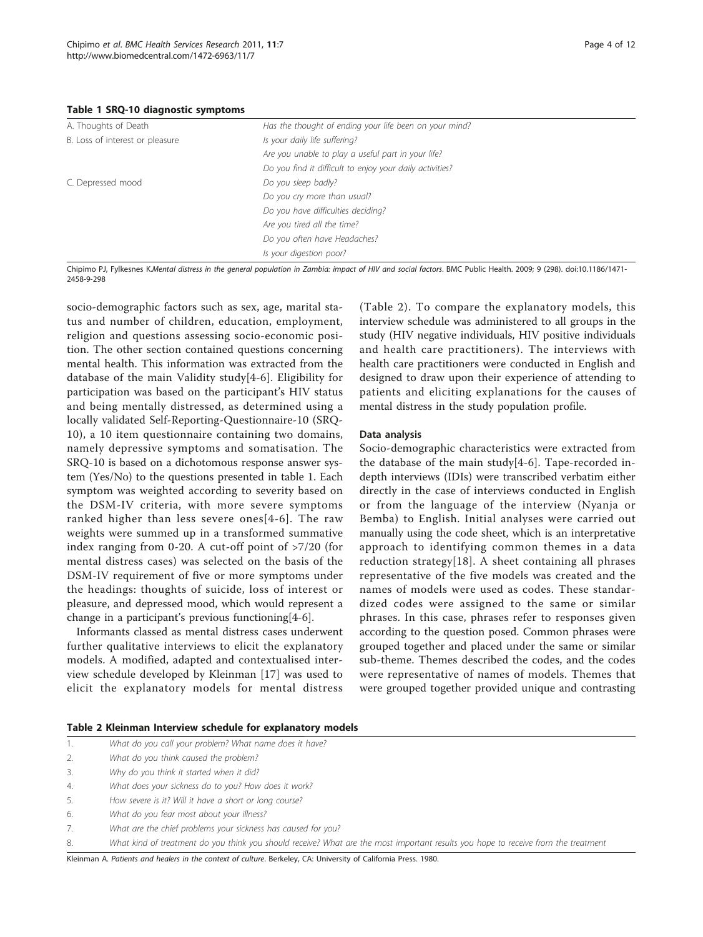<span id="page-3-0"></span>

| A. Thoughts of Death            | Has the thought of ending your life been on your mind?   |  |  |
|---------------------------------|----------------------------------------------------------|--|--|
| B. Loss of interest or pleasure | Is your daily life suffering?                            |  |  |
|                                 | Are you unable to play a useful part in your life?       |  |  |
|                                 | Do you find it difficult to enjoy your daily activities? |  |  |
| C. Depressed mood               | Do you sleep badly?                                      |  |  |
|                                 | Do you cry more than usual?                              |  |  |
|                                 | Do you have difficulties deciding?                       |  |  |
|                                 | Are you tired all the time?                              |  |  |
|                                 | Do you often have Headaches?                             |  |  |
|                                 | Is your digestion poor?                                  |  |  |

Chipimo PJ, Fylkesnes K.Mental distress in the general population in Zambia: impact of HIV and social factors. BMC Public Health. 2009; 9 (298). doi:10.1186/1471- 2458-9-298

socio-demographic factors such as sex, age, marital status and number of children, education, employment, religion and questions assessing socio-economic position. The other section contained questions concerning mental health. This information was extracted from the database of the main Validity study[[4](#page-11-0)-[6\]](#page-11-0). Eligibility for participation was based on the participant's HIV status and being mentally distressed, as determined using a locally validated Self-Reporting-Questionnaire-10 (SRQ-10), a 10 item questionnaire containing two domains, namely depressive symptoms and somatisation. The SRQ-10 is based on a dichotomous response answer system (Yes/No) to the questions presented in table 1. Each symptom was weighted according to severity based on the DSM-IV criteria, with more severe symptoms ranked higher than less severe ones[[4](#page-11-0)-[6\]](#page-11-0). The raw weights were summed up in a transformed summative index ranging from 0-20. A cut-off point of >7/20 (for mental distress cases) was selected on the basis of the DSM-IV requirement of five or more symptoms under the headings: thoughts of suicide, loss of interest or pleasure, and depressed mood, which would represent a change in a participant's previous functioning[[4-6\]](#page-11-0).

Informants classed as mental distress cases underwent further qualitative interviews to elicit the explanatory models. A modified, adapted and contextualised interview schedule developed by Kleinman [[17](#page-11-0)] was used to elicit the explanatory models for mental distress

(Table 2). To compare the explanatory models, this interview schedule was administered to all groups in the study (HIV negative individuals, HIV positive individuals and health care practitioners). The interviews with health care practitioners were conducted in English and designed to draw upon their experience of attending to patients and eliciting explanations for the causes of mental distress in the study population profile.

#### Data analysis

Socio-demographic characteristics were extracted from the database of the main study[[4-6\]](#page-11-0). Tape-recorded indepth interviews (IDIs) were transcribed verbatim either directly in the case of interviews conducted in English or from the language of the interview (Nyanja or Bemba) to English. Initial analyses were carried out manually using the code sheet, which is an interpretative approach to identifying common themes in a data reduction strategy[[18](#page-11-0)]. A sheet containing all phrases representative of the five models was created and the names of models were used as codes. These standardized codes were assigned to the same or similar phrases. In this case, phrases refer to responses given according to the question posed. Common phrases were grouped together and placed under the same or similar sub-theme. Themes described the codes, and the codes were representative of names of models. Themes that were grouped together provided unique and contrasting

| Table 2 Kleinman Interview schedule for explanatory models |
|------------------------------------------------------------|
| What do you call your problem? What name does it have?     |

- 2. What do you think caused the problem?
- 3. Why do you think it started when it did?
- 4. What does your sickness do to you? How does it work?
- 5. How severe is it? Will it have a short or long course?
- 6. What do you fear most about your illness?
- 7. What are the chief problems your sickness has caused for you?

8. What kind of treatment do you think you should receive? What are the most important results you hope to receive from the treatment

Kleinman A. Patients and healers in the context of culture. Berkeley, CA: University of California Press. 1980.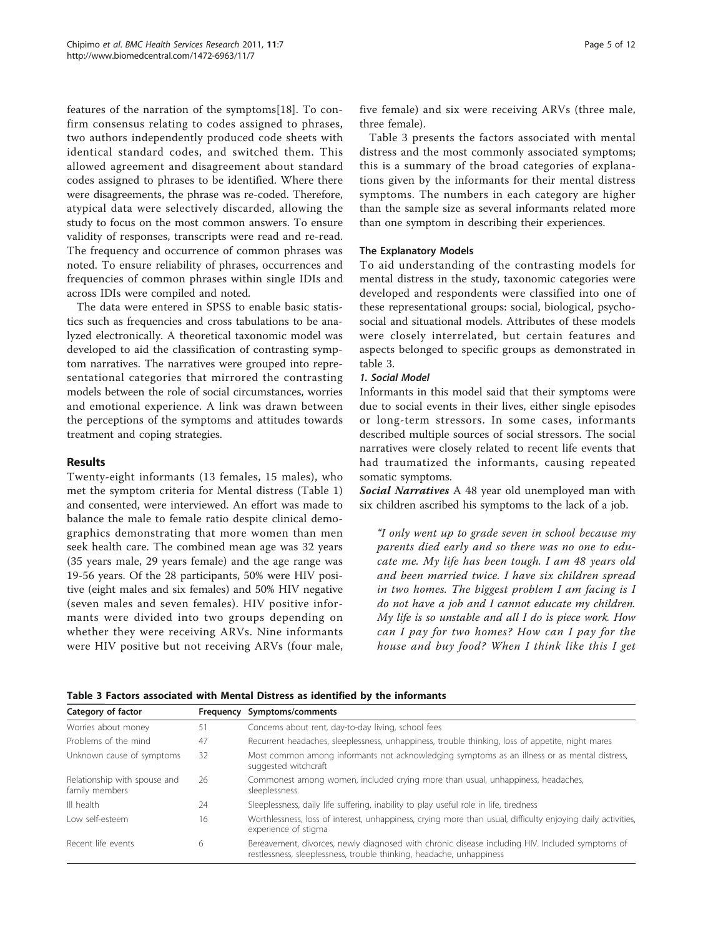features of the narration of the symptoms[\[18\]](#page-11-0). To confirm consensus relating to codes assigned to phrases, two authors independently produced code sheets with identical standard codes, and switched them. This allowed agreement and disagreement about standard codes assigned to phrases to be identified. Where there were disagreements, the phrase was re-coded. Therefore, atypical data were selectively discarded, allowing the study to focus on the most common answers. To ensure validity of responses, transcripts were read and re-read. The frequency and occurrence of common phrases was noted. To ensure reliability of phrases, occurrences and frequencies of common phrases within single IDIs and across IDIs were compiled and noted.

The data were entered in SPSS to enable basic statistics such as frequencies and cross tabulations to be analyzed electronically. A theoretical taxonomic model was developed to aid the classification of contrasting symptom narratives. The narratives were grouped into representational categories that mirrored the contrasting models between the role of social circumstances, worries and emotional experience. A link was drawn between the perceptions of the symptoms and attitudes towards treatment and coping strategies.

# Results

Twenty-eight informants (13 females, 15 males), who met the symptom criteria for Mental distress (Table [1](#page-3-0)) and consented, were interviewed. An effort was made to balance the male to female ratio despite clinical demographics demonstrating that more women than men seek health care. The combined mean age was 32 years (35 years male, 29 years female) and the age range was 19-56 years. Of the 28 participants, 50% were HIV positive (eight males and six females) and 50% HIV negative (seven males and seven females). HIV positive informants were divided into two groups depending on whether they were receiving ARVs. Nine informants were HIV positive but not receiving ARVs (four male, five female) and six were receiving ARVs (three male, three female).

Table 3 presents the factors associated with mental distress and the most commonly associated symptoms; this is a summary of the broad categories of explanations given by the informants for their mental distress symptoms. The numbers in each category are higher than the sample size as several informants related more than one symptom in describing their experiences.

#### The Explanatory Models

To aid understanding of the contrasting models for mental distress in the study, taxonomic categories were developed and respondents were classified into one of these representational groups: social, biological, psychosocial and situational models. Attributes of these models were closely interrelated, but certain features and aspects belonged to specific groups as demonstrated in table 3.

# 1. Social Model

Informants in this model said that their symptoms were due to social events in their lives, either single episodes or long-term stressors. In some cases, informants described multiple sources of social stressors. The social narratives were closely related to recent life events that had traumatized the informants, causing repeated somatic symptoms.

Social Narratives A 48 year old unemployed man with six children ascribed his symptoms to the lack of a job.

"I only went up to grade seven in school because my parents died early and so there was no one to educate me. My life has been tough. I am 48 years old and been married twice. I have six children spread in two homes. The biggest problem I am facing is I do not have a job and I cannot educate my children. My life is so unstable and all I do is piece work. How can I pay for two homes? How can I pay for the house and buy food? When I think like this I get

Table 3 Factors associated with Mental Distress as identified by the informants

| Category of factor                             |    | Frequency Symptoms/comments<br>Concerns about rent, day-to-day living, school fees                                                                                      |  |  |
|------------------------------------------------|----|-------------------------------------------------------------------------------------------------------------------------------------------------------------------------|--|--|
| Worries about money                            | 51 |                                                                                                                                                                         |  |  |
| Problems of the mind                           | 47 | Recurrent headaches, sleeplessness, unhappiness, trouble thinking, loss of appetite, night mares                                                                        |  |  |
| Unknown cause of symptoms                      | 32 | Most common among informants not acknowledging symptoms as an illness or as mental distress,<br>suggested witchcraft                                                    |  |  |
| Relationship with spouse and<br>family members | 26 | Commonest among women, included crying more than usual, unhappiness, headaches,<br>sleeplessness.                                                                       |  |  |
| III health                                     | 24 | Sleeplessness, daily life suffering, inability to play useful role in life, tiredness                                                                                   |  |  |
| Low self-esteem                                | 16 | Worthlessness, loss of interest, unhappiness, crying more than usual, difficulty enjoying daily activities,<br>experience of stigma                                     |  |  |
| Recent life events                             | 6  | Bereavement, divorces, newly diagnosed with chronic disease including HIV. Included symptoms of<br>restlessness, sleeplessness, trouble thinking, headache, unhappiness |  |  |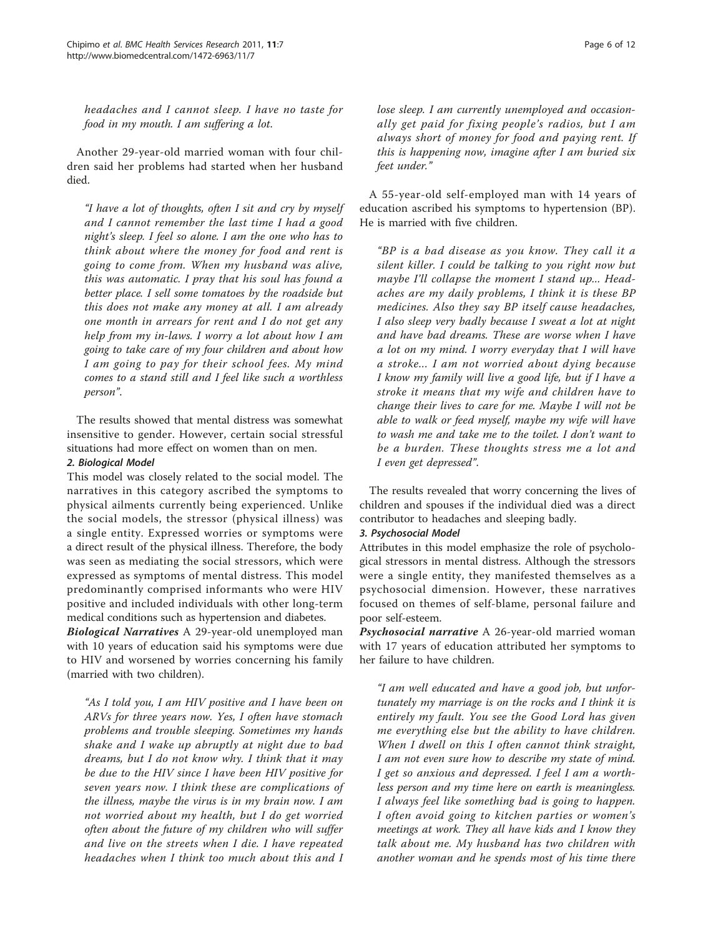headaches and I cannot sleep. I have no taste for food in my mouth. I am suffering a lot.

Another 29-year-old married woman with four children said her problems had started when her husband died.

"I have a lot of thoughts, often I sit and cry by myself and I cannot remember the last time I had a good night's sleep. I feel so alone. I am the one who has to think about where the money for food and rent is going to come from. When my husband was alive, this was automatic. I pray that his soul has found a better place. I sell some tomatoes by the roadside but this does not make any money at all. I am already one month in arrears for rent and I do not get any help from my in-laws. I worry a lot about how I am going to take care of my four children and about how I am going to pay for their school fees. My mind comes to a stand still and I feel like such a worthless person".

The results showed that mental distress was somewhat insensitive to gender. However, certain social stressful situations had more effect on women than on men.

## 2. Biological Model

This model was closely related to the social model. The narratives in this category ascribed the symptoms to physical ailments currently being experienced. Unlike the social models, the stressor (physical illness) was a single entity. Expressed worries or symptoms were a direct result of the physical illness. Therefore, the body was seen as mediating the social stressors, which were expressed as symptoms of mental distress. This model predominantly comprised informants who were HIV positive and included individuals with other long-term medical conditions such as hypertension and diabetes.

Biological Narratives A 29-year-old unemployed man with 10 years of education said his symptoms were due to HIV and worsened by worries concerning his family (married with two children).

"As I told you, I am HIV positive and I have been on ARVs for three years now. Yes, I often have stomach problems and trouble sleeping. Sometimes my hands shake and I wake up abruptly at night due to bad dreams, but I do not know why. I think that it may be due to the HIV since I have been HIV positive for seven years now. I think these are complications of the illness, maybe the virus is in my brain now. I am not worried about my health, but I do get worried often about the future of my children who will suffer and live on the streets when I die. I have repeated headaches when I think too much about this and I

lose sleep. I am currently unemployed and occasionally get paid for fixing people's radios, but I am always short of money for food and paying rent. If this is happening now, imagine after I am buried six feet under."

A 55-year-old self-employed man with 14 years of education ascribed his symptoms to hypertension (BP). He is married with five children.

"BP is a bad disease as you know. They call it a silent killer. I could be talking to you right now but maybe I'll collapse the moment I stand up... Headaches are my daily problems, I think it is these BP medicines. Also they say BP itself cause headaches, I also sleep very badly because I sweat a lot at night and have bad dreams. These are worse when I have a lot on my mind. I worry everyday that I will have a stroke... I am not worried about dying because I know my family will live a good life, but if I have a stroke it means that my wife and children have to change their lives to care for me. Maybe I will not be able to walk or feed myself, maybe my wife will have to wash me and take me to the toilet. I don't want to be a burden. These thoughts stress me a lot and I even get depressed".

The results revealed that worry concerning the lives of children and spouses if the individual died was a direct contributor to headaches and sleeping badly.

#### 3. Psychosocial Model

Attributes in this model emphasize the role of psychological stressors in mental distress. Although the stressors were a single entity, they manifested themselves as a psychosocial dimension. However, these narratives focused on themes of self-blame, personal failure and poor self-esteem.

Psychosocial narrative A 26-year-old married woman with 17 years of education attributed her symptoms to her failure to have children.

"I am well educated and have a good job, but unfortunately my marriage is on the rocks and I think it is entirely my fault. You see the Good Lord has given me everything else but the ability to have children. When I dwell on this I often cannot think straight, I am not even sure how to describe my state of mind. I get so anxious and depressed. I feel I am a worthless person and my time here on earth is meaningless. I always feel like something bad is going to happen. I often avoid going to kitchen parties or women's meetings at work. They all have kids and I know they talk about me. My husband has two children with another woman and he spends most of his time there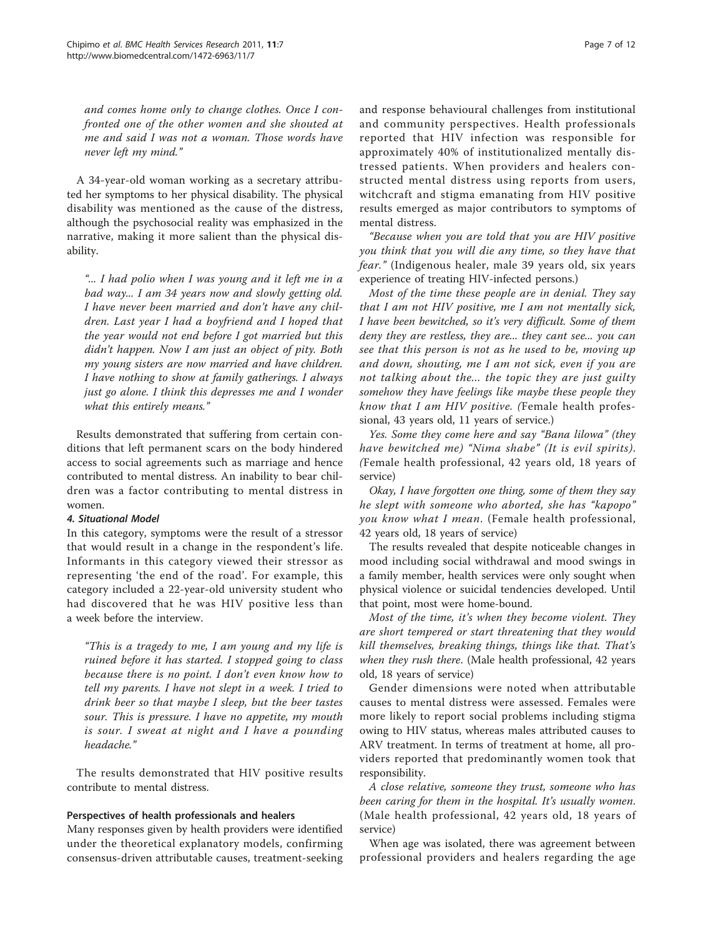and comes home only to change clothes. Once I confronted one of the other women and she shouted at me and said I was not a woman. Those words have never left my mind."

A 34-year-old woman working as a secretary attributed her symptoms to her physical disability. The physical disability was mentioned as the cause of the distress, although the psychosocial reality was emphasized in the narrative, making it more salient than the physical disability.

"... I had polio when I was young and it left me in a bad way... I am 34 years now and slowly getting old. I have never been married and don't have any children. Last year I had a boyfriend and I hoped that the year would not end before I got married but this didn't happen. Now I am just an object of pity. Both my young sisters are now married and have children. I have nothing to show at family gatherings. I always just go alone. I think this depresses me and I wonder what this entirely means."

Results demonstrated that suffering from certain conditions that left permanent scars on the body hindered access to social agreements such as marriage and hence contributed to mental distress. An inability to bear children was a factor contributing to mental distress in women.

# 4. Situational Model

In this category, symptoms were the result of a stressor that would result in a change in the respondent's life. Informants in this category viewed their stressor as representing 'the end of the road'. For example, this category included a 22-year-old university student who had discovered that he was HIV positive less than a week before the interview.

"This is a tragedy to me, I am young and my life is ruined before it has started. I stopped going to class because there is no point. I don't even know how to tell my parents. I have not slept in a week. I tried to drink beer so that maybe I sleep, but the beer tastes sour. This is pressure. I have no appetite, my mouth is sour. I sweat at night and I have a pounding headache."

The results demonstrated that HIV positive results contribute to mental distress.

# Perspectives of health professionals and healers

Many responses given by health providers were identified under the theoretical explanatory models, confirming consensus-driven attributable causes, treatment-seeking and response behavioural challenges from institutional and community perspectives. Health professionals reported that HIV infection was responsible for approximately 40% of institutionalized mentally distressed patients. When providers and healers constructed mental distress using reports from users, witchcraft and stigma emanating from HIV positive results emerged as major contributors to symptoms of mental distress.

"Because when you are told that you are HIV positive you think that you will die any time, so they have that fear." (Indigenous healer, male 39 years old, six years experience of treating HIV-infected persons.)

Most of the time these people are in denial. They say that I am not HIV positive, me I am not mentally sick, I have been bewitched, so it's very difficult. Some of them deny they are restless, they are... they cant see... you can see that this person is not as he used to be, moving up and down, shouting, me I am not sick, even if you are not talking about the... the topic they are just guilty somehow they have feelings like maybe these people they know that I am HIV positive. (Female health professional, 43 years old, 11 years of service.)

Yes. Some they come here and say "Bana lilowa" (they have bewitched me) "Nima shabe" (It is evil spirits). (Female health professional, 42 years old, 18 years of service)

Okay, I have forgotten one thing, some of them they say he slept with someone who aborted, she has "kapopo" you know what I mean. (Female health professional, 42 years old, 18 years of service)

The results revealed that despite noticeable changes in mood including social withdrawal and mood swings in a family member, health services were only sought when physical violence or suicidal tendencies developed. Until that point, most were home-bound.

Most of the time, it's when they become violent. They are short tempered or start threatening that they would kill themselves, breaking things, things like that. That's when they rush there. (Male health professional, 42 years old, 18 years of service)

Gender dimensions were noted when attributable causes to mental distress were assessed. Females were more likely to report social problems including stigma owing to HIV status, whereas males attributed causes to ARV treatment. In terms of treatment at home, all providers reported that predominantly women took that responsibility.

A close relative, someone they trust, someone who has been caring for them in the hospital. It's usually women. (Male health professional, 42 years old, 18 years of service)

When age was isolated, there was agreement between professional providers and healers regarding the age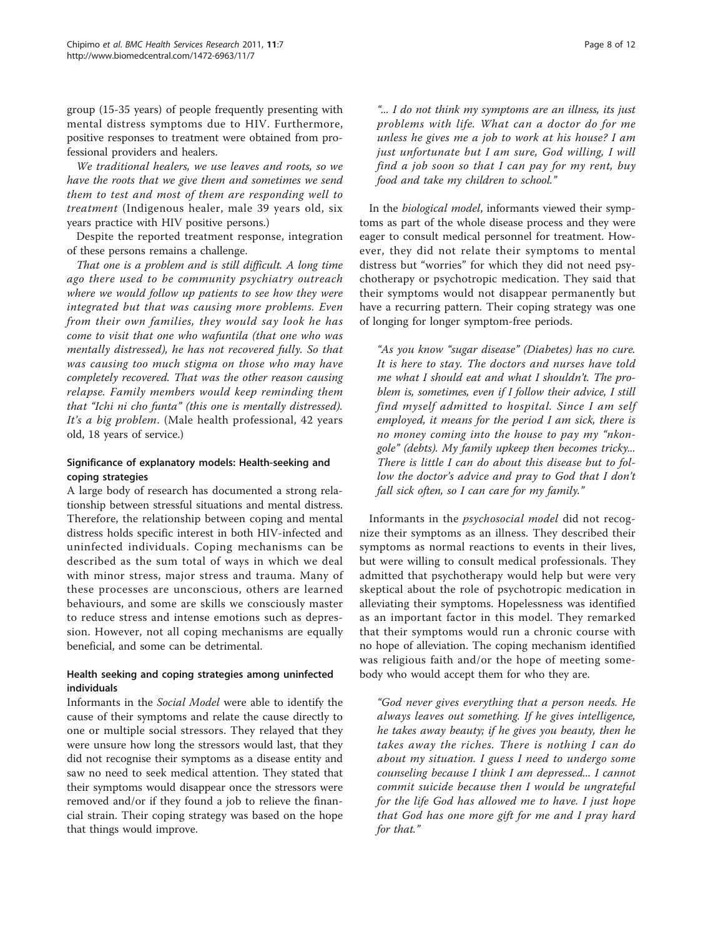group (15-35 years) of people frequently presenting with mental distress symptoms due to HIV. Furthermore, positive responses to treatment were obtained from professional providers and healers.

We traditional healers, we use leaves and roots, so we have the roots that we give them and sometimes we send them to test and most of them are responding well to treatment (Indigenous healer, male 39 years old, six years practice with HIV positive persons.)

Despite the reported treatment response, integration of these persons remains a challenge.

That one is a problem and is still difficult. A long time ago there used to be community psychiatry outreach where we would follow up patients to see how they were integrated but that was causing more problems. Even from their own families, they would say look he has come to visit that one who wafuntila (that one who was mentally distressed), he has not recovered fully. So that was causing too much stigma on those who may have completely recovered. That was the other reason causing relapse. Family members would keep reminding them that "Ichi ni cho funta" (this one is mentally distressed). It's a big problem. (Male health professional, 42 years old, 18 years of service.)

# Significance of explanatory models: Health-seeking and coping strategies

A large body of research has documented a strong relationship between stressful situations and mental distress. Therefore, the relationship between coping and mental distress holds specific interest in both HIV-infected and uninfected individuals. Coping mechanisms can be described as the sum total of ways in which we deal with minor stress, major stress and trauma. Many of these processes are unconscious, others are learned behaviours, and some are skills we consciously master to reduce stress and intense emotions such as depression. However, not all coping mechanisms are equally beneficial, and some can be detrimental.

# Health seeking and coping strategies among uninfected individuals

Informants in the Social Model were able to identify the cause of their symptoms and relate the cause directly to one or multiple social stressors. They relayed that they were unsure how long the stressors would last, that they did not recognise their symptoms as a disease entity and saw no need to seek medical attention. They stated that their symptoms would disappear once the stressors were removed and/or if they found a job to relieve the financial strain. Their coping strategy was based on the hope that things would improve.

"... I do not think my symptoms are an illness, its just problems with life. What can a doctor do for me unless he gives me a job to work at his house? I am just unfortunate but I am sure, God willing, I will find a job soon so that I can pay for my rent, buy food and take my children to school."

In the biological model, informants viewed their symptoms as part of the whole disease process and they were eager to consult medical personnel for treatment. However, they did not relate their symptoms to mental distress but "worries" for which they did not need psychotherapy or psychotropic medication. They said that their symptoms would not disappear permanently but have a recurring pattern. Their coping strategy was one of longing for longer symptom-free periods.

"As you know "sugar disease" (Diabetes) has no cure. It is here to stay. The doctors and nurses have told me what I should eat and what I shouldn't. The problem is, sometimes, even if I follow their advice, I still find myself admitted to hospital. Since I am self employed, it means for the period I am sick, there is no money coming into the house to pay my "nkongole" (debts). My family upkeep then becomes tricky... There is little I can do about this disease but to follow the doctor's advice and pray to God that I don't fall sick often, so I can care for my family."

Informants in the psychosocial model did not recognize their symptoms as an illness. They described their symptoms as normal reactions to events in their lives, but were willing to consult medical professionals. They admitted that psychotherapy would help but were very skeptical about the role of psychotropic medication in alleviating their symptoms. Hopelessness was identified as an important factor in this model. They remarked that their symptoms would run a chronic course with no hope of alleviation. The coping mechanism identified was religious faith and/or the hope of meeting somebody who would accept them for who they are.

"God never gives everything that a person needs. He always leaves out something. If he gives intelligence, he takes away beauty; if he gives you beauty, then he takes away the riches. There is nothing I can do about my situation. I guess I need to undergo some counseling because I think I am depressed... I cannot commit suicide because then I would be ungrateful for the life God has allowed me to have. I just hope that God has one more gift for me and I pray hard for that."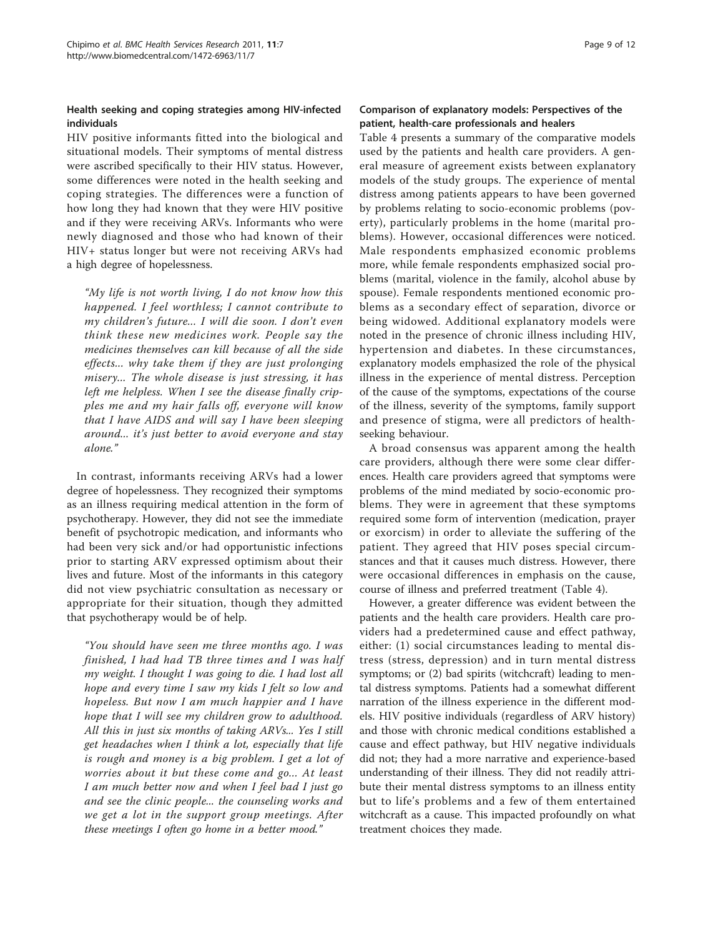# Health seeking and coping strategies among HIV-infected individuals

HIV positive informants fitted into the biological and situational models. Their symptoms of mental distress were ascribed specifically to their HIV status. However, some differences were noted in the health seeking and coping strategies. The differences were a function of how long they had known that they were HIV positive and if they were receiving ARVs. Informants who were newly diagnosed and those who had known of their HIV+ status longer but were not receiving ARVs had a high degree of hopelessness.

"My life is not worth living, I do not know how this happened. I feel worthless; I cannot contribute to my children's future... I will die soon. I don't even think these new medicines work. People say the medicines themselves can kill because of all the side effects... why take them if they are just prolonging misery... The whole disease is just stressing, it has left me helpless. When I see the disease finally cripples me and my hair falls off, everyone will know that I have AIDS and will say I have been sleeping around... it's just better to avoid everyone and stay alone."

In contrast, informants receiving ARVs had a lower degree of hopelessness. They recognized their symptoms as an illness requiring medical attention in the form of psychotherapy. However, they did not see the immediate benefit of psychotropic medication, and informants who had been very sick and/or had opportunistic infections prior to starting ARV expressed optimism about their lives and future. Most of the informants in this category did not view psychiatric consultation as necessary or appropriate for their situation, though they admitted that psychotherapy would be of help.

"You should have seen me three months ago. I was finished, I had had TB three times and I was half my weight. I thought I was going to die. I had lost all hope and every time I saw my kids I felt so low and hopeless. But now I am much happier and I have hope that I will see my children grow to adulthood. All this in just six months of taking ARVs... Yes I still get headaches when I think a lot, especially that life is rough and money is a big problem. I get a lot of worries about it but these come and go... At least I am much better now and when I feel bad I just go and see the clinic people... the counseling works and we get a lot in the support group meetings. After these meetings I often go home in a better mood."

# Comparison of explanatory models: Perspectives of the patient, health-care professionals and healers

Table [4](#page-9-0) presents a summary of the comparative models used by the patients and health care providers. A general measure of agreement exists between explanatory models of the study groups. The experience of mental distress among patients appears to have been governed by problems relating to socio-economic problems (poverty), particularly problems in the home (marital problems). However, occasional differences were noticed. Male respondents emphasized economic problems more, while female respondents emphasized social problems (marital, violence in the family, alcohol abuse by spouse). Female respondents mentioned economic problems as a secondary effect of separation, divorce or being widowed. Additional explanatory models were noted in the presence of chronic illness including HIV, hypertension and diabetes. In these circumstances, explanatory models emphasized the role of the physical illness in the experience of mental distress. Perception of the cause of the symptoms, expectations of the course of the illness, severity of the symptoms, family support and presence of stigma, were all predictors of healthseeking behaviour.

A broad consensus was apparent among the health care providers, although there were some clear differences. Health care providers agreed that symptoms were problems of the mind mediated by socio-economic problems. They were in agreement that these symptoms required some form of intervention (medication, prayer or exorcism) in order to alleviate the suffering of the patient. They agreed that HIV poses special circumstances and that it causes much distress. However, there were occasional differences in emphasis on the cause, course of illness and preferred treatment (Table [4\)](#page-9-0).

However, a greater difference was evident between the patients and the health care providers. Health care providers had a predetermined cause and effect pathway, either: (1) social circumstances leading to mental distress (stress, depression) and in turn mental distress symptoms; or  $(2)$  bad spirits (witchcraft) leading to mental distress symptoms. Patients had a somewhat different narration of the illness experience in the different models. HIV positive individuals (regardless of ARV history) and those with chronic medical conditions established a cause and effect pathway, but HIV negative individuals did not; they had a more narrative and experience-based understanding of their illness. They did not readily attribute their mental distress symptoms to an illness entity but to life's problems and a few of them entertained witchcraft as a cause. This impacted profoundly on what treatment choices they made.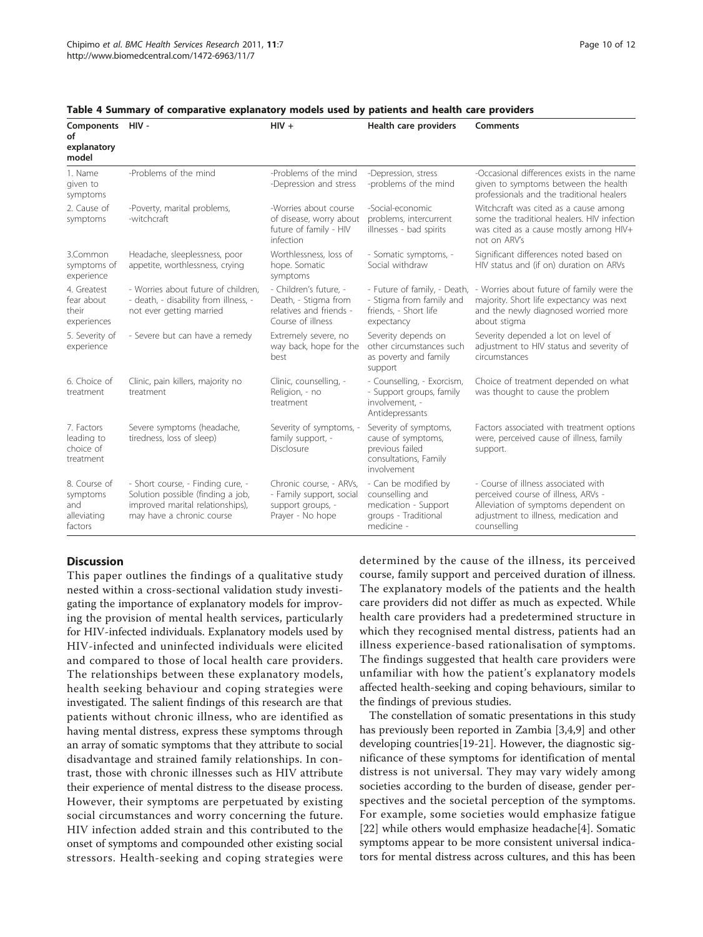| Components<br>of<br>explanatory<br>model                  | $HIV -$                                                                                                                                 | $HIV +$                                                                                        | Health care providers                                                                                  | Comments                                                                                                                                                                   |
|-----------------------------------------------------------|-----------------------------------------------------------------------------------------------------------------------------------------|------------------------------------------------------------------------------------------------|--------------------------------------------------------------------------------------------------------|----------------------------------------------------------------------------------------------------------------------------------------------------------------------------|
| 1. Name<br>given to<br>symptoms                           | -Problems of the mind                                                                                                                   | -Problems of the mind<br>-Depression and stress                                                | -Depression, stress<br>-problems of the mind                                                           | -Occasional differences exists in the name<br>given to symptoms between the health<br>professionals and the traditional healers                                            |
| 2. Cause of<br>symptoms                                   | -Poverty, marital problems,<br>-witchcraft                                                                                              | -Worries about course<br>of disease, worry about<br>future of family - HIV<br>infection        | -Social-economic<br>problems, intercurrent<br>illnesses - bad spirits                                  | Witchcraft was cited as a cause among<br>some the traditional healers. HIV infection<br>was cited as a cause mostly among HIV+<br>not on ARV's                             |
| 3.Common<br>symptoms of<br>experience                     | Headache, sleeplessness, poor<br>appetite, worthlessness, crying                                                                        | Worthlessness, loss of<br>hope. Somatic<br>symptoms                                            | - Somatic symptoms, -<br>Social withdraw                                                               | Significant differences noted based on<br>HIV status and (if on) duration on ARVs                                                                                          |
| 4. Greatest<br>fear about<br>their<br>experiences         | - Worries about future of children.<br>- death, - disability from illness, -<br>not ever getting married                                | - Children's future. -<br>Death, - Stigma from<br>relatives and friends -<br>Course of illness | - Future of family, - Death,<br>- Stigma from family and<br>friends, - Short life<br>expectancy        | - Worries about future of family were the<br>majority. Short life expectancy was next<br>and the newly diagnosed worried more<br>about stigma                              |
| 5. Severity of<br>experience                              | - Severe but can have a remedy                                                                                                          | Extremely severe, no<br>way back, hope for the<br>best                                         | Severity depends on<br>other circumstances such<br>as poverty and family<br>support                    | Severity depended a lot on level of<br>adjustment to HIV status and severity of<br>circumstances                                                                           |
| 6. Choice of<br>treatment                                 | Clinic, pain killers, majority no<br>treatment                                                                                          | Clinic, counselling, -<br>Religion, - no<br>treatment                                          | - Counselling, - Exorcism,<br>- Support groups, family<br>involvement. -<br>Antidepressants            | Choice of treatment depended on what<br>was thought to cause the problem                                                                                                   |
| 7. Factors<br>leading to<br>choice of<br>treatment        | Severe symptoms (headache,<br>tiredness, loss of sleep)                                                                                 | Severity of symptoms, -<br>family support, -<br>Disclosure                                     | Severity of symptoms,<br>cause of symptoms,<br>previous failed<br>consultations, Family<br>involvement | Factors associated with treatment options<br>were, perceived cause of illness, family<br>support.                                                                          |
| 8. Course of<br>symptoms<br>and<br>alleviating<br>factors | - Short course, - Finding cure, -<br>Solution possible (finding a job,<br>improved marital relationships),<br>may have a chronic course | Chronic course, - ARVs,<br>- Family support, social<br>support groups, -<br>Prayer - No hope   | - Can be modified by<br>counselling and<br>medication - Support<br>groups - Traditional<br>medicine -  | - Course of illness associated with<br>perceived course of illness, ARVs -<br>Alleviation of symptoms dependent on<br>adjustment to illness, medication and<br>counselling |

<span id="page-9-0"></span>Table 4 Summary of comparative explanatory models used by patients and health care providers

# **Discussion**

This paper outlines the findings of a qualitative study nested within a cross-sectional validation study investigating the importance of explanatory models for improving the provision of mental health services, particularly for HIV-infected individuals. Explanatory models used by HIV-infected and uninfected individuals were elicited and compared to those of local health care providers. The relationships between these explanatory models, health seeking behaviour and coping strategies were investigated. The salient findings of this research are that patients without chronic illness, who are identified as having mental distress, express these symptoms through an array of somatic symptoms that they attribute to social disadvantage and strained family relationships. In contrast, those with chronic illnesses such as HIV attribute their experience of mental distress to the disease process. However, their symptoms are perpetuated by existing social circumstances and worry concerning the future. HIV infection added strain and this contributed to the onset of symptoms and compounded other existing social stressors. Health-seeking and coping strategies were determined by the cause of the illness, its perceived course, family support and perceived duration of illness. The explanatory models of the patients and the health care providers did not differ as much as expected. While health care providers had a predetermined structure in which they recognised mental distress, patients had an illness experience-based rationalisation of symptoms. The findings suggested that health care providers were unfamiliar with how the patient's explanatory models affected health-seeking and coping behaviours, similar to the findings of previous studies.

The constellation of somatic presentations in this study has previously been reported in Zambia [[3,4,9\]](#page-11-0) and other developing countries[\[19-21](#page-11-0)]. However, the diagnostic significance of these symptoms for identification of mental distress is not universal. They may vary widely among societies according to the burden of disease, gender perspectives and the societal perception of the symptoms. For example, some societies would emphasize fatigue [[22\]](#page-11-0) while others would emphasize headache[\[4](#page-11-0)]. Somatic symptoms appear to be more consistent universal indicators for mental distress across cultures, and this has been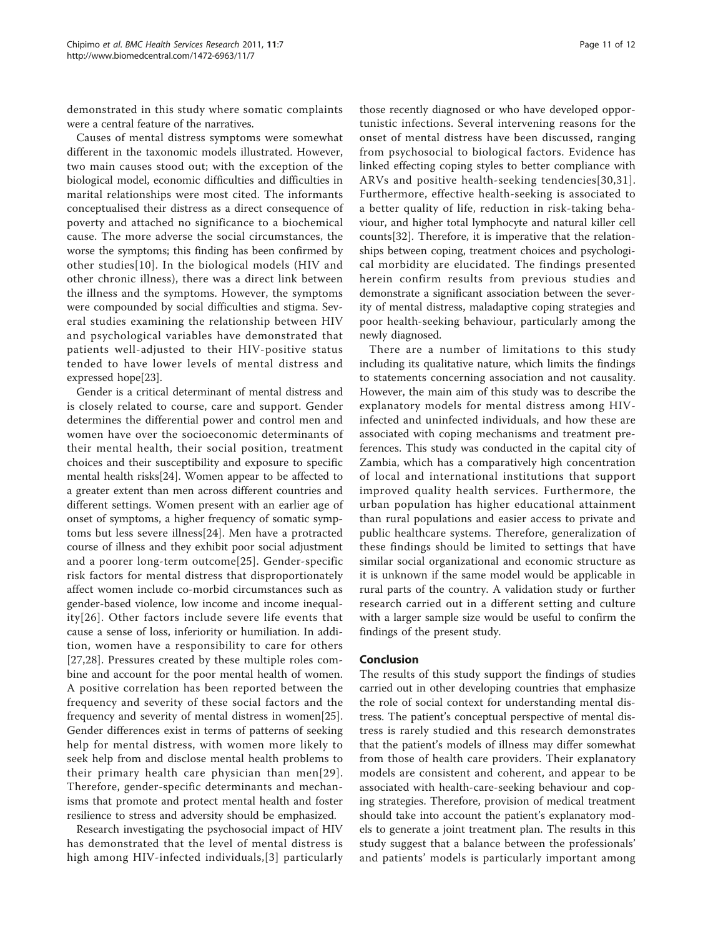demonstrated in this study where somatic complaints were a central feature of the narratives.

Causes of mental distress symptoms were somewhat different in the taxonomic models illustrated. However, two main causes stood out; with the exception of the biological model, economic difficulties and difficulties in marital relationships were most cited. The informants conceptualised their distress as a direct consequence of poverty and attached no significance to a biochemical cause. The more adverse the social circumstances, the worse the symptoms; this finding has been confirmed by other studies[[10](#page-11-0)]. In the biological models (HIV and other chronic illness), there was a direct link between the illness and the symptoms. However, the symptoms were compounded by social difficulties and stigma. Several studies examining the relationship between HIV and psychological variables have demonstrated that patients well-adjusted to their HIV-positive status tended to have lower levels of mental distress and expressed hope[\[23](#page-11-0)].

Gender is a critical determinant of mental distress and is closely related to course, care and support. Gender determines the differential power and control men and women have over the socioeconomic determinants of their mental health, their social position, treatment choices and their susceptibility and exposure to specific mental health risks[\[24\]](#page-11-0). Women appear to be affected to a greater extent than men across different countries and different settings. Women present with an earlier age of onset of symptoms, a higher frequency of somatic symptoms but less severe illness[[24\]](#page-11-0). Men have a protracted course of illness and they exhibit poor social adjustment and a poorer long-term outcome[[25\]](#page-11-0). Gender-specific risk factors for mental distress that disproportionately affect women include co-morbid circumstances such as gender-based violence, low income and income inequality[[26](#page-11-0)]. Other factors include severe life events that cause a sense of loss, inferiority or humiliation. In addition, women have a responsibility to care for others [[27,28](#page-11-0)]. Pressures created by these multiple roles combine and account for the poor mental health of women. A positive correlation has been reported between the frequency and severity of these social factors and the frequency and severity of mental distress in women[\[25](#page-11-0)]. Gender differences exist in terms of patterns of seeking help for mental distress, with women more likely to seek help from and disclose mental health problems to their primary health care physician than men[[29\]](#page-11-0). Therefore, gender-specific determinants and mechanisms that promote and protect mental health and foster resilience to stress and adversity should be emphasized.

Research investigating the psychosocial impact of HIV has demonstrated that the level of mental distress is high among HIV-infected individuals,[[3](#page-11-0)] particularly

those recently diagnosed or who have developed opportunistic infections. Several intervening reasons for the onset of mental distress have been discussed, ranging from psychosocial to biological factors. Evidence has linked effecting coping styles to better compliance with ARVs and positive health-seeking tendencies[[30,31\]](#page-11-0). Furthermore, effective health-seeking is associated to a better quality of life, reduction in risk-taking behaviour, and higher total lymphocyte and natural killer cell counts[[32](#page-11-0)]. Therefore, it is imperative that the relationships between coping, treatment choices and psychological morbidity are elucidated. The findings presented herein confirm results from previous studies and demonstrate a significant association between the severity of mental distress, maladaptive coping strategies and poor health-seeking behaviour, particularly among the newly diagnosed.

There are a number of limitations to this study including its qualitative nature, which limits the findings to statements concerning association and not causality. However, the main aim of this study was to describe the explanatory models for mental distress among HIVinfected and uninfected individuals, and how these are associated with coping mechanisms and treatment preferences. This study was conducted in the capital city of Zambia, which has a comparatively high concentration of local and international institutions that support improved quality health services. Furthermore, the urban population has higher educational attainment than rural populations and easier access to private and public healthcare systems. Therefore, generalization of these findings should be limited to settings that have similar social organizational and economic structure as it is unknown if the same model would be applicable in rural parts of the country. A validation study or further research carried out in a different setting and culture with a larger sample size would be useful to confirm the findings of the present study.

# Conclusion

The results of this study support the findings of studies carried out in other developing countries that emphasize the role of social context for understanding mental distress. The patient's conceptual perspective of mental distress is rarely studied and this research demonstrates that the patient's models of illness may differ somewhat from those of health care providers. Their explanatory models are consistent and coherent, and appear to be associated with health-care-seeking behaviour and coping strategies. Therefore, provision of medical treatment should take into account the patient's explanatory models to generate a joint treatment plan. The results in this study suggest that a balance between the professionals' and patients' models is particularly important among